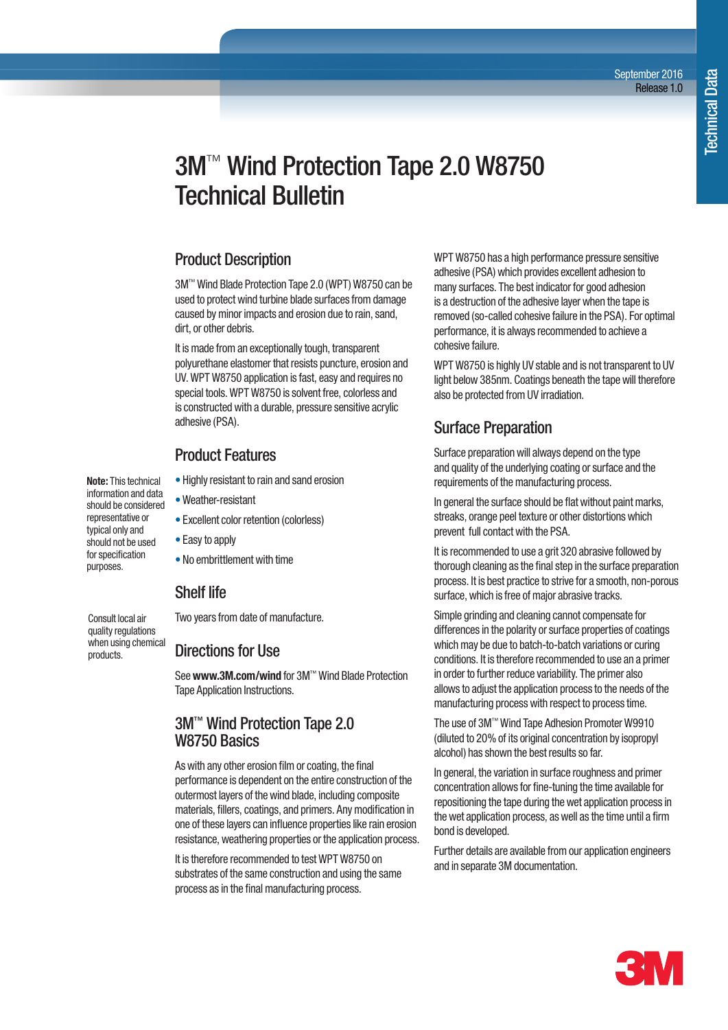# 3M<sup>™</sup> Wind Protection Tape 2.0 W8750 Technical Bulletin

### Product Description

3M™ Wind Blade Protection Tape 2.0 (WPT) W8750 can be used to protect wind turbine blade surfaces from damage caused by minor impacts and erosion due to rain, sand, dirt, or other debris.

It is made from an exceptionally tough, transparent polyurethane elastomer that resists puncture, erosion and UV. WPT W8750 application is fast, easy and requires no special tools. WPT W8750 is solvent free, colorless and is constructed with a durable, pressure sensitive acrylic adhesive (PSA).

# Product Features

- Highly resistant to rain and sand erosion
- Weather-resistant
- Excellent color retention (colorless)
- Easy to apply
- No embrittlement with time

# Shelf life

Consult local air quality regulations when using chemical products.

**Note:** This technical information and data should be considered representative or typical only and should not be used for specification purposes.

Two years from date of manufacture.

### Directions for Use

See **www.3M.com/wind** for 3M™ Wind Blade Protection Tape Application Instructions.

### 3M™ Wind Protection Tape 2.0 W8750 Basics

As with any other erosion film or coating, the final performance is dependent on the entire construction of the outermost layers of the wind blade, including composite materials, fillers, coatings, and primers. Any modification in one of these layers can influence properties like rain erosion resistance, weathering properties or the application process.

It is therefore recommended to test WPT W8750 on substrates of the same construction and using the same process as in the final manufacturing process.

WPT W8750 has a high performance pressure sensitive adhesive (PSA) which provides excellent adhesion to many surfaces. The best indicator for good adhesion is a destruction of the adhesive layer when the tape is removed (so-called cohesive failure in the PSA). For optimal performance, it is always recommended to achieve a cohesive failure.

WPT W8750 is highly UV stable and is not transparent to UV light below 385nm. Coatings beneath the tape will therefore also be protected from UV irradiation.

# Surface Preparation

Surface preparation will always depend on the type and quality of the underlying coating or surface and the requirements of the manufacturing process.

In general the surface should be flat without paint marks, streaks, orange peel texture or other distortions which prevent full contact with the PSA.

It is recommended to use a grit 320 abrasive followed by thorough cleaning as the final step in the surface preparation process. It is best practice to strive for a smooth, non-porous surface, which is free of major abrasive tracks.

Simple grinding and cleaning cannot compensate for differences in the polarity or surface properties of coatings which may be due to batch-to-batch variations or curing conditions. It is therefore recommended to use an a primer in order to further reduce variability. The primer also allows to adjust the application process to the needs of the manufacturing process with respect to process time.

The use of 3M™ Wind Tape Adhesion Promoter W9910 (diluted to 20% of its original concentration by isopropyl alcohol) has shown the best results so far.

In general, the variation in surface roughness and primer concentration allows for fine-tuning the time available for repositioning the tape during the wet application process in the wet application process, as well as the time until a firm bond is developed.

Further details are available from our application engineers and in separate 3M documentation.

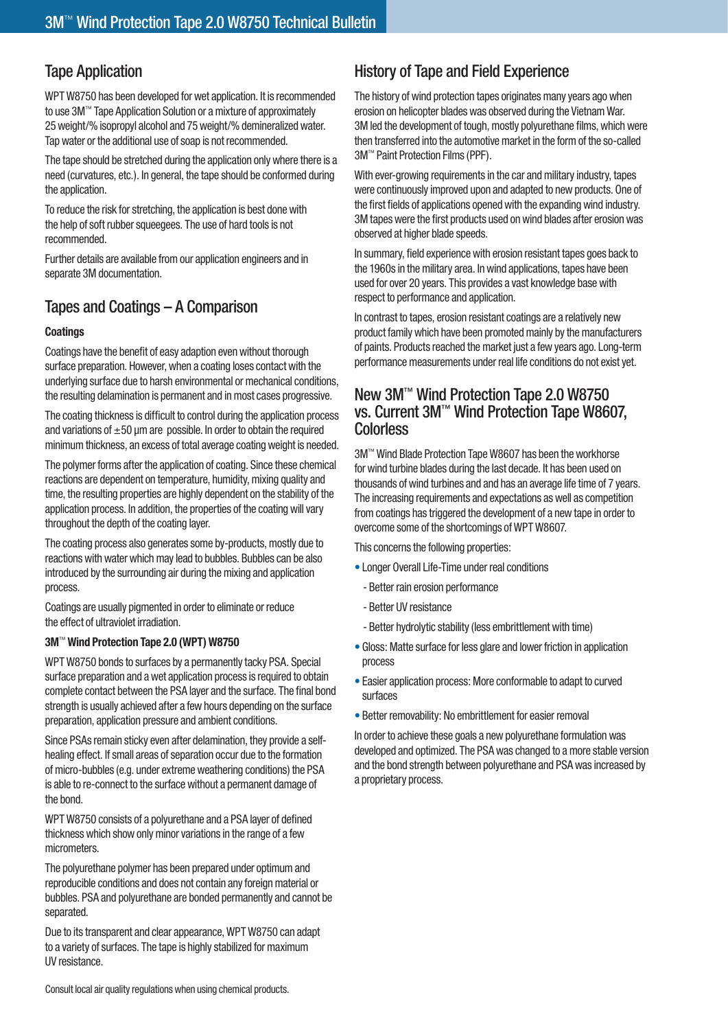# Tape Application

WPT W8750 has been developed for wet application. It is recommended to use 3M™ Tape Application Solution or a mixture of approximately 25 weight/% isopropyl alcohol and 75 weight/% demineralized water. Tap water or the additional use of soap is not recommended.

The tape should be stretched during the application only where there is a need (curvatures, etc.). In general, the tape should be conformed during the application.

To reduce the risk for stretching, the application is best done with the help of soft rubber squeegees. The use of hard tools is not recommended.

Further details are available from our application engineers and in separate 3M documentation.

# Tapes and Coatings – A Comparison

### **Coatings**

Coatings have the benefit of easy adaption even without thorough surface preparation. However, when a coating loses contact with the underlying surface due to harsh environmental or mechanical conditions, the resulting delamination is permanent and in most cases progressive.

The coating thickness is difficult to control during the application process and variations of  $\pm 50$  µm are possible. In order to obtain the required minimum thickness, an excess of total average coating weight is needed.

The polymer forms after the application of coating. Since these chemical reactions are dependent on temperature, humidity, mixing quality and time, the resulting properties are highly dependent on the stability of the application process. In addition, the properties of the coating will vary throughout the depth of the coating layer.

The coating process also generates some by-products, mostly due to reactions with water which may lead to bubbles. Bubbles can be also introduced by the surrounding air during the mixing and application process.

Coatings are usually pigmented in order to eliminate or reduce the effect of ultraviolet irradiation.

### **3M**™ **Wind Protection Tape 2.0 (WPT) W8750**

WPT W8750 bonds to surfaces by a permanently tacky PSA. Special surface preparation and a wet application process is required to obtain complete contact between the PSA layer and the surface. The final bond strength is usually achieved after a few hours depending on the surface preparation, application pressure and ambient conditions.

Since PSAs remain sticky even after delamination, they provide a selfhealing effect. If small areas of separation occur due to the formation of micro-bubbles (e.g. under extreme weathering conditions) the PSA is able to re-connect to the surface without a permanent damage of the bond.

WPT W8750 consists of a polyurethane and a PSA layer of defined thickness which show only minor variations in the range of a few micrometers.

The polyurethane polymer has been prepared under optimum and reproducible conditions and does not contain any foreign material or bubbles. PSA and polyurethane are bonded permanently and cannot be separated.

Due to its transparent and clear appearance, WPT W8750 can adapt to a variety of surfaces. The tape is highly stabilized for maximum UV resistance.

# History of Tape and Field Experience

The history of wind protection tapes originates many years ago when erosion on helicopter blades was observed during the Vietnam War. 3M led the development of tough, mostly polyurethane films, which were then transferred into the automotive market in the form of the so-called 3M™ Paint Protection Films (PPF).

With ever-growing requirements in the car and military industry, tapes were continuously improved upon and adapted to new products. One of the first fields of applications opened with the expanding wind industry. 3M tapes were the first products used on wind blades after erosion was observed at higher blade speeds.

In summary, field experience with erosion resistant tapes goes back to the 1960s in the military area. In wind applications, tapes have been used for over 20 years. This provides a vast knowledge base with respect to performance and application.

In contrast to tapes, erosion resistant coatings are a relatively new product family which have been promoted mainly by the manufacturers of paints. Products reached the market just a few years ago. Long-term performance measurements under real life conditions do not exist yet.

### New 3M™ Wind Protection Tape 2.0 W8750 vs. Current 3M™ Wind Protection Tape W8607, **Colorless**

3M™ Wind Blade Protection Tape W8607 has been the workhorse for wind turbine blades during the last decade. It has been used on thousands of wind turbines and and has an average life time of 7 years. The increasing requirements and expectations as well as competition from coatings has triggered the development of a new tape in order to overcome some of the shortcomings of WPT W8607.

This concerns the following properties:

- Longer Overall Life-Time under real conditions
	- Better rain erosion performance
	- Better UV resistance
	- Better hydrolytic stability (less embrittlement with time)
- Gloss: Matte surface for less glare and lower friction in application process
- Easier application process: More conformable to adapt to curved surfaces
- Better removability: No embrittlement for easier removal

In order to achieve these goals a new polyurethane formulation was developed and optimized. The PSA was changed to a more stable version and the bond strength between polyurethane and PSA was increased by a proprietary process.

Consult local air quality regulations when using chemical products.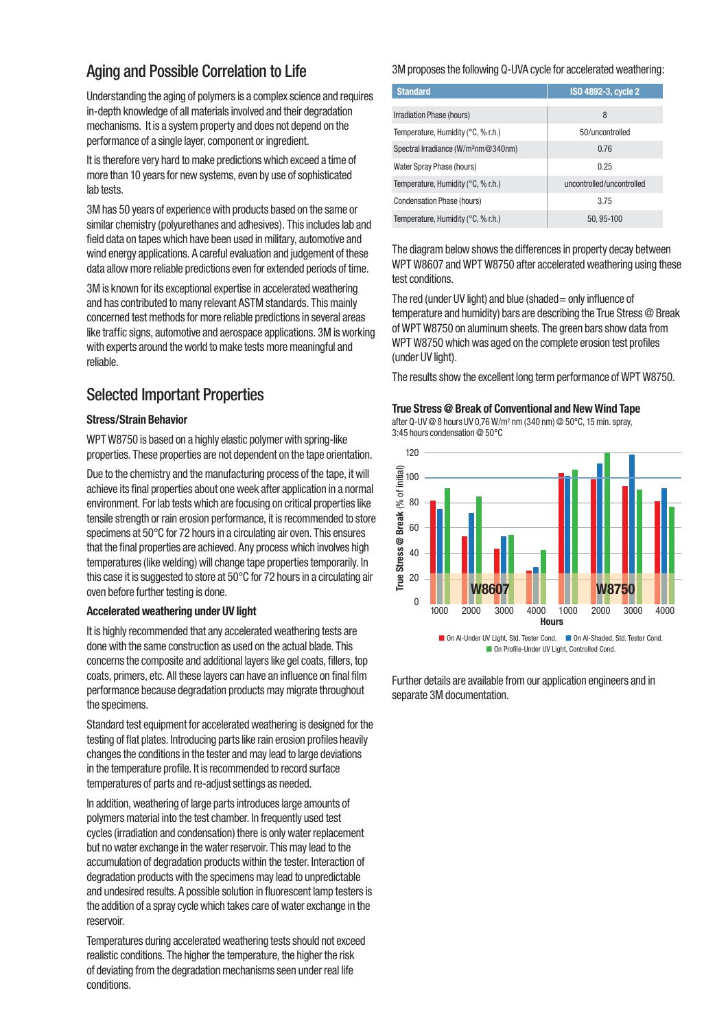# Aging and Possible Correlation to Life

Understanding the aging of polymers is a complex science and requires in-depth knowledge of all materials involved and their degradation mechanisms. It is a system property and does not depend on the performance of a single layer, component or ingredient.

It is therefore very hard to make predictions which exceed a time of more than 10 years for new systems, even by use of sophisticated lab tests.

3M has 50 years of experience with products based on the same or similar chemistry (polyurethanes and adhesives). This includes lab and field data on tapes which have been used in military, automotive and wind energy applications. A careful evaluation and judgement of these data allow more reliable predictions even for extended periods of time.

3M is known for its exceptional expertise in accelerated weathering and has contributed to many relevant ASTM standards. This mainly concerned test methods for more reliable predictions in several areas like traffic signs, automotive and aerospace applications. 3M is working with experts around the world to make tests more meaningful and reliable.

# Selected Important Properties

#### **Stress/Strain Behavior**

WPT W8750 is based on a highly elastic polymer with spring-like properties. These properties are not dependent on the tape orientation.

Due to the chemistry and the manufacturing process of the tape, it will achieve its final properties about one week after application in a normal environment. For lab tests which are focusing on critical properties like tensile strength or rain erosion performance, it is recommended to store specimens at 50°C for 72 hours in a circulating air oven. This ensures that the final properties are achieved. Any process which involves high temperatures (like welding) will change tape properties temporarily. In this case it is suggested to store at 50°C for 72 hours in a circulating air oven before further testing is done.

#### **Accelerated weathering under UV light**

It is highly recommended that any accelerated weathering tests are done with the same construction as used on the actual blade. This concerns the composite and additional layers like gel coats, fillers, top coats, primers, etc. All these layers can have an influence on final film performance because degradation products may migrate throughout the specimens.

Standard test equipment for accelerated weathering is designed for the testing of flat plates. Introducing parts like rain erosion profiles heavily changes the conditions in the tester and may lead to large deviations in the temperature profile. It is recommended to record surface temperatures of parts and re-adjust settings as needed.

In addition, weathering of large parts introduces large amounts of polymers material into the test chamber. In frequently used test cycles (irradiation and condensation) there is only water replacement but no water exchange in the water reservoir. This may lead to the accumulation of degradation products within the tester. Interaction of degradation products with the specimens may lead to unpredictable and undesired results. A possible solution in fluorescent lamp testers is the addition of a spray cycle which takes care of water exchange in the reservoir.

Temperatures during accelerated weathering tests should not exceed realistic conditions. The higher the temperature, the higher the risk of deviating from the degradation mechanisms seen under real life conditions.

#### 3M proposes the following Q-UVA cycle for accelerated weathering:

| <b>Standard</b>                                 | ISO 4892-3, cycle 2       |
|-------------------------------------------------|---------------------------|
| Irradiation Phase (hours)                       | 8                         |
| Temperature, Humidity (°C, % r.h.)              | 50/uncontrolled           |
| Spectral Irradiance (W/m <sup>2</sup> nm@340nm) | 0.76                      |
| Water Spray Phase (hours)                       | 0.25                      |
| Temperature, Humidity (°C, % r.h.)              | uncontrolled/uncontrolled |
| Condensation Phase (hours)                      | 3.75                      |
| Temperature, Humidity (°C, % r.h.)              | 50.95-100                 |

The diagram below shows the differences in property decay between WPT W8607 and WPT W8750 after accelerated weathering using these test conditions.

The red (under UV light) and blue (shaded = only influence of temperature and humidity) bars are describing the True Stress @ Break of WPT W8750 on aluminum sheets. The green bars show data from WPT W8750 which was aged on the complete erosion test profiles (under UV light).

The results show the excellent long term performance of WPT W8750.

#### **True Stress @ Break of Conventional and New Wind Tape**

after Q-UV @ 8 hours UV 0,76 W/m<sup>2</sup> nm (340 nm) @ 50°C, 15 min. spray, 3:45 hours condensation @ 50°C



■ On Profile-Under UV Light, Controlled Cond.

Further details are available from our application engineers and in separate 3M documentation.